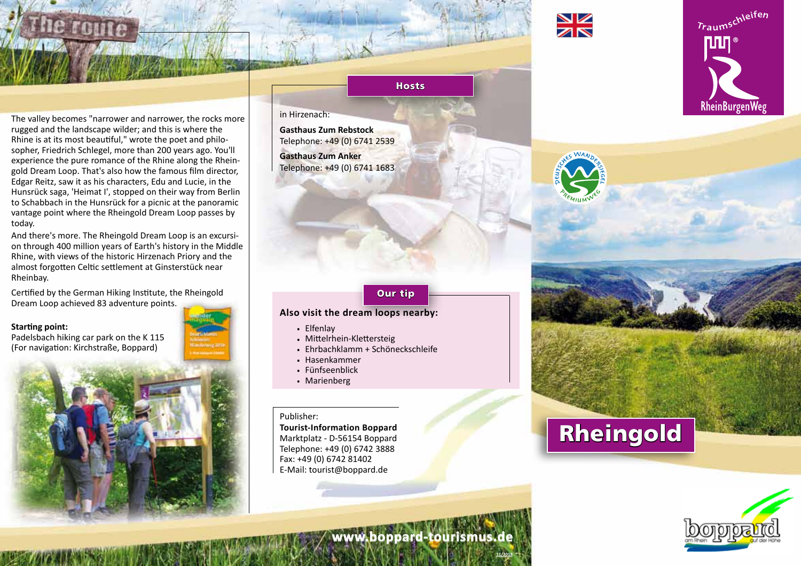

The valley becomes "narrower and narrower, the rocks more rugged and the landscape wilder; and this is where the Rhine is at its most beautiful," wrote the poet and philosopher, Friedrich Schlegel, more than 200 years ago. You'll experience the pure romance of the Rhine along the Rheingold Dream Loop. That's also how the famous film director, Edgar Reitz, saw it as his characters, Edu and Lucie, in the Hunsrück saga, 'Heimat I', stopped on their way from Berlin to Schabbach in the Hunsrück for a picnic at the panoramic vantage point where the Rheingold Dream Loop passes by today.

And there's more. The Rheingold Dream Loop is an excursion through 400 million years of Earth's history in the Middle Rhine, with views of the historic Hirzenach Priory and the almost forgotten Celtic settlement at Ginsterstück near Rheinbay.

Certified by the German Hiking Institute, the Rheingold Dream Loop achieved 83 adventure points.

#### **Starting point:**

Padelsbach hiking car park on the K 115 (For navigation: Kirchstraße, Boppard)



### in Hirzenach:

**Gasthaus Zum Rebstock** Telephone: +49 (0) 6741 2539 **Gasthaus Zum Anker** Telephone: +49 (0) 6741 1683

#### Our tip

**Hosts** 

#### **Also visit the dream loops nearby:**

- . Elfenlay
- . Mittelrhein-Klettersteig
- . Ehrbachklamm + Schöneckschleife
- . Hasenkammer
- . Fünfseenblick
- . Marienberg

#### Publisher:

**Tourist-Information Boppard** Marktplatz - D-56154 Boppard Telephone: +49 (0) 6742 3888 Fax: +49 (0) 6742 81402 E-Mail: tourist@boppard.de

## Rheingold



# RheinBurgenWeg

Traumschleifen





**11/2018**